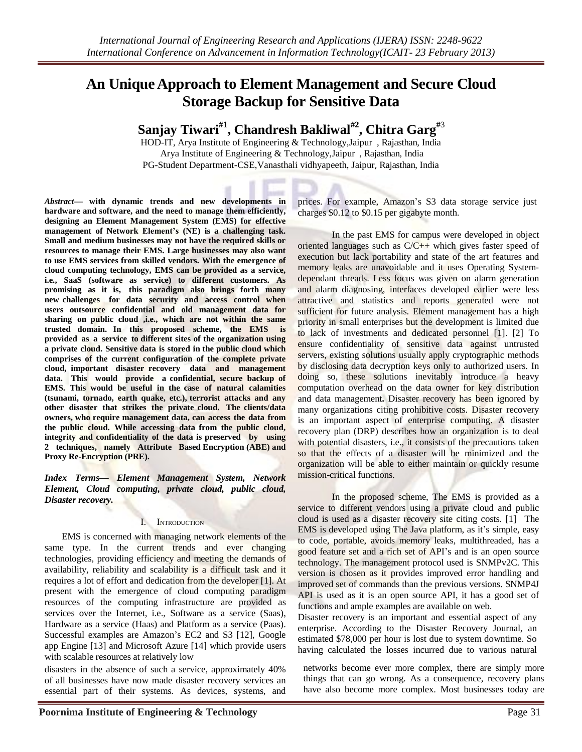# **An Unique Approach to Element Management and Secure Cloud Storage Backup for Sensitive Data**

**Sanjay Tiwari#1 , Chandresh Bakliwal#2 , Chitra Garg#**<sup>3</sup>

HOD-IT, Arya Institute of Engineering & Technology, Jaipur, Rajasthan, India Arya Institute of Engineering & Technology, Jaipur, Rajasthan, India PG-Student Department-CSE,Vanasthali vidhyapeeth, Jaipur, Rajasthan, India

*Abstract***— with dynamic trends and new developments in hardware and software, and the need to manage them efficiently, designing an Element Management System (EMS) for effective management of Network Element's (NE) is a challenging task. Small and medium businesses may not have the required skills or resources to manage their EMS. Large businesses may also want to use EMS services from skilled vendors. With the emergence of cloud computing technology, EMS can be provided as a service, i.e., SaaS (software as service) to different customers. As promising as it is, this paradigm also brings forth many new challenges for data security and access control when users outsource confidential and old management data for sharing on public cloud ,i.e., which are not within the same trusted domain. In this proposed scheme, the EMS is provided as a service to different sites of the organization using a private cloud. Sensitive data is stored in the public cloud which comprises of the current configuration of the complete private cloud, important disaster recovery data and management data. This would provide a confidential, secure backup of EMS. This would be useful in the case of natural calamities (tsunami, tornado, earth quake, etc.), terrorist attacks and any other disaster that strikes the private cloud. The clients/data owners, who require management data, can access the data from the public cloud. While accessing data from the public cloud, integrity and confidentiality of the data is preserved by using 2 techniques, namely Attribute Based Encryption (ABE) and Proxy Re-Encryption (PRE).**

*Index Terms— Element Management System, Network Element, Cloud computing, private cloud, public cloud, Disaster recovery.*

### I. INTRODUCTION

EMS is concerned with managing network elements of the same type. In the current trends and ever changing technologies, providing efficiency and meeting the demands of availability, reliability and scalability is a difficult task and it requires a lot of effort and dedication from the developer [1]. At present with the emergence of cloud computing paradigm resources of the computing infrastructure are provided as services over the Internet, i.e., Software as a service (Saas), Hardware as a service (Haas) and Platform as a service (Paas). Successful examples are Amazon's EC2 and S3 [12], Google app Engine [13] and Microsoft Azure [14] which provide users with scalable resources at relatively low

disasters in the absence of such a service, approximately 40% of all businesses have now made disaster recovery services an essential part of their systems. As devices, systems, and

prices. For example, Amazon's S3 data storage service just charges \$0.12 to \$0.15 per gigabyte month.

In the past EMS for campus were developed in object oriented languages such as C/C++ which gives faster speed of execution but lack portability and state of the art features and memory leaks are unavoidable and it uses Operating Systemdependant threads. Less focus was given on alarm generation and alarm diagnosing, interfaces developed earlier were less attractive and statistics and reports generated were not sufficient for future analysis. Element management has a high priority in small enterprises but the development is limited due to lack of investments and dedicated personnel [1]. [2] To ensure confidentiality of sensitive data against untrusted servers, existing solutions usually apply cryptographic methods by disclosing data decryption keys only to authorized users. In doing so, these solutions inevitably introduce a heavy computation overhead on the data owner for key distribution and data management**.** Disaster recovery has been ignored by many organizations citing prohibitive costs. Disaster recovery is an important aspect of enterprise computing. A disaster recovery plan (DRP) describes how an organization is to deal with potential disasters, i.e., it consists of the precautions taken so that the effects of a disaster will be minimized and the organization will be able to either maintain or quickly resume mission-critical functions.

In the proposed scheme, The EMS is provided as a service to different vendors using a private cloud and public cloud is used as a disaster recovery site citing costs. [1] The EMS is developed using The Java platform, as it's simple, easy to code, portable, avoids memory leaks, multithreaded, has a good feature set and a rich set of API's and is an open source technology. The management protocol used is SNMPv2C. This version is chosen as it provides improved error handling and improved set of commands than the previous versions. SNMP4J API is used as it is an open source API, it has a good set of functions and ample examples are available on web.

Disaster recovery is an important and essential aspect of any enterprise. According to the Disaster Recovery Journal, an estimated \$78,000 per hour is lost due to system downtime. So having calculated the losses incurred due to various natural

networks become ever more complex, there are simply more things that can go wrong. As a consequence, recovery plans have also become more complex. Most businesses today are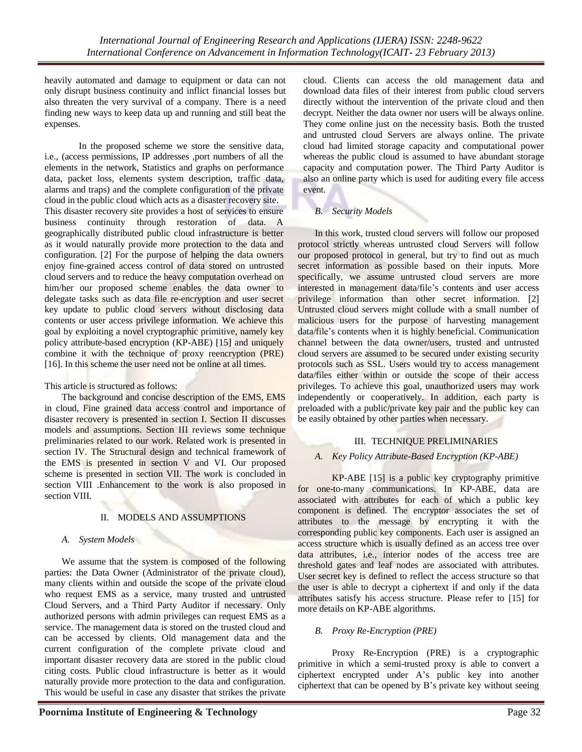heavily automated and damage to equipment or data can not only disrupt business continuity and inflict financial losses but also threaten the very survival of a company. There is a need finding new ways to keep data up and running and still beat the expenses.

In the proposed scheme we store the sensitive data, i.e., (access permissions, IP addresses ,port numbers of all the elements in the network, Statistics and graphs on performance data, packet loss, elements system description, traffic data, alarms and traps) and the complete configuration of the private cloud in the public cloud which acts as a disaster recovery site. This disaster recovery site provides a host of services to ensure business continuity through restoration of data. A geographically distributed public cloud infrastructure is better as it would naturally provide more protection to the data and configuration. [2] For the purpose of helping the data owners enjoy fine-grained access control of data stored on untrusted cloud servers and to reduce the heavy computation overhead on him/her our proposed scheme enables the data owner to delegate tasks such as data file re-encryption and user secret key update to public cloud servers without disclosing data contents or user access privilege information. We achieve this goal by exploiting a novel cryptographic primitive, namely key policy attribute-based encryption (KP-ABE) [15] and uniquely combine it with the technique of proxy reencryption (PRE) [16]. In this scheme the user need not be online at all times.

This article is structured as follows:

The background and concise description of the EMS, EMS in cloud, Fine grained data access control and importance of disaster recovery is presented in section I. Section II discusses models and assumptions. Section III reviews some technique preliminaries related to our work. Related work is presented in section IV. The Structural design and technical framework of the EMS is presented in section V and VI. Our proposed scheme is presented in section VII. The work is concluded in section VIII .Enhancement to the work is also proposed in section VIII.

# II. MODELS AND ASSUMPTIONS

### *A. System Models*

We assume that the system is composed of the following parties: the Data Owner (Administrator of the private cloud), many clients within and outside the scope of the private cloud who request EMS as a service, many trusted and untrusted Cloud Servers, and a Third Party Auditor if necessary. Only authorized persons with admin privileges can request EMS as a service. The management data is stored on the trusted cloud and can be accessed by clients. Old management data and the current configuration of the complete private cloud and important disaster recovery data are stored in the public cloud citing costs. Public cloud infrastructure is better as it would naturally provide more protection to the data and configuration. This would be useful in case any disaster that strikes the private

cloud. Clients can access the old management data and download data files of their interest from public cloud servers directly without the intervention of the private cloud and then decrypt. Neither the data owner nor users will be always online. They come online just on the necessity basis. Both the trusted and untrusted cloud Servers are always online. The private cloud had limited storage capacity and computational power whereas the public cloud is assumed to have abundant storage capacity and computation power. The Third Party Auditor is also an online party which is used for auditing every file access event.

# *B. Security Models*

In this work, trusted cloud servers will follow our proposed protocol strictly whereas untrusted cloud Servers will follow our proposed protocol in general, but try to find out as much secret information as possible based on their inputs. More specifically, we assume untrusted cloud servers are more interested in management data/file's contents and user access privilege information than other secret information. [2] Untrusted cloud servers might collude with a small number of malicious users for the purpose of harvesting management data/file's contents when it is highly beneficial. Communication channel between the data owner/users, trusted and untrusted cloud servers are assumed to be secured under existing security protocols such as SSL. Users would try to access management data/files either within or outside the scope of their access privileges. To achieve this goal, unauthorized users may work independently or cooperatively. In addition, each party is preloaded with a public/private key pair and the public key can be easily obtained by other parties when necessary.

# III. TECHNIQUE PRELIMINARIES

### *A. Key Policy Attribute-Based Encryption (KP-ABE)*

KP-ABE [15] is a public key cryptography primitive for one-to-many communications. In KP-ABE, data are associated with attributes for each of which a public key component is defined. The encryptor associates the set of attributes to the message by encrypting it with the corresponding public key components. Each user is assigned an access structure which is usually defined as an access tree over data attributes, i.e., interior nodes of the access tree are threshold gates and leaf nodes are associated with attributes. User secret key is defined to reflect the access structure so that the user is able to decrypt a ciphertext if and only if the data attributes satisfy his access structure. Please refer to [15] for more details on KP-ABE algorithms.

# *B. Proxy Re-Encryption (PRE)*

Proxy Re-Encryption (PRE) is a cryptographic primitive in which a semi-trusted proxy is able to convert a ciphertext encrypted under A's public key into another ciphertext that can be opened by B's private key without seeing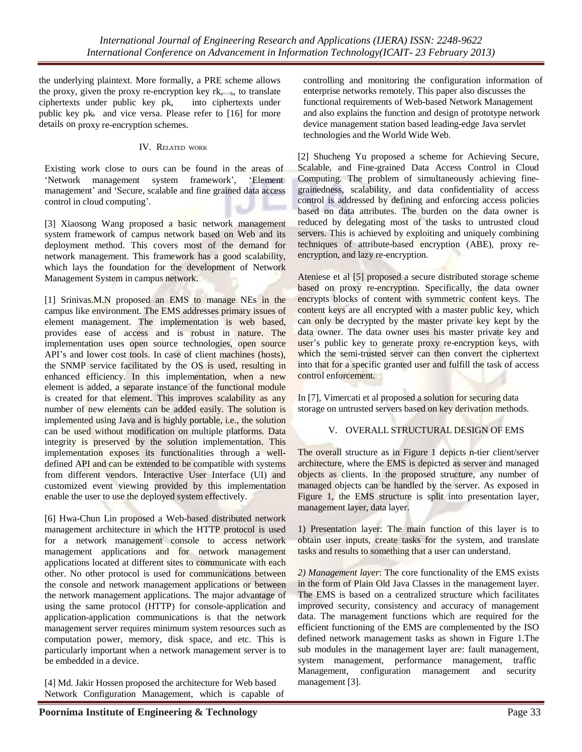the underlying plaintext. More formally, a PRE scheme allows the proxy, given the proxy re-encryption key  $rk_{a\leq b}$ , to translate  $ciphertexts$  under public key  $pk<sub>a</sub>$  into ciphertexts under public key  $pk<sub>b</sub>$  and vice versa. Please refer to [16] for more details on proxy re-encryption schemes.

### IV. RELATED WORK

Existing work close to ours can be found in the areas of 'Network management system framework', 'Element management' and 'Secure, scalable and fine grained data access control in cloud computing'.

[3] Xiaosong Wang proposed a basic network management system framework of campus network based on Web and its deployment method. This covers most of the demand for network management. This framework has a good scalability, which lays the foundation for the development of Network Management System in campus network.

[1] Srinivas.M.N proposed an EMS to manage NEs in the campus like environment. The EMS addresses primary issues of element management. The implementation is web based, provides ease of access and is robust in nature. The implementation uses open source technologies, open source API's and lower cost tools. In case of client machines (hosts), the SNMP service facilitated by the OS is used, resulting in enhanced efficiency. In this implementation, when a new element is added, a separate instance of the functional module is created for that element. This improves scalability as any number of new elements can be added easily. The solution is implemented using Java and is highly portable, i.e., the solution can be used without modification on multiple platforms. Data integrity is preserved by the solution implementation. This implementation exposes its functionalities through a welldefined API and can be extended to be compatible with systems from different vendors. Interactive User Interface (UI) and customized event viewing provided by this implementation enable the user to use the deployed system effectively.

[6] Hwa-Chun Lin proposed a Web-based distributed network management architecture in which the HTTP protocol is used for a network management console to access network management applications and for network management applications located at different sites to communicate with each other. No other protocol is used for communications between the console and network management applications or between the network management applications. The major advantage of using the same protocol (HTTP) for console-application and application-application communications is that the network management server requires minimum system resources such as computation power, memory, disk space, and etc. This is particularly important when a network management server is to be embedded in a device.

[4] Md. Jakir Hossen proposed the architecture for Web based Network Configuration Management, which is capable of

[2] Shucheng Yu proposed a scheme for Achieving Secure, Scalable, and Fine-grained Data Access Control in Cloud Computing. The problem of simultaneously achieving finegrainedness, scalability, and data confidentiality of access control is addressed by defining and enforcing access policies based on data attributes. The burden on the data owner is reduced by delegating most of the tasks to untrusted cloud servers. This is achieved by exploiting and uniquely combining techniques of attribute-based encryption (ABE), proxy reencryption, and lazy re-encryption.

Ateniese et al [5] proposed a secure distributed storage scheme based on proxy re-encryption. Specifically, the data owner encrypts blocks of content with symmetric content keys. The content keys are all encrypted with a master public key, which can only be decrypted by the master private key kept by the data owner. The data owner uses his master private key and user's public key to generate proxy re-encryption keys, with which the semi-trusted server can then convert the ciphertext into that for a specific granted user and fulfill the task of access control enforcement.

In [7], Vimercati et al proposed a solution for securing data storage on untrusted servers based on key derivation methods.

### V. OVERALL STRUCTURAL DESIGN OF EMS

The overall structure as in Figure 1 depicts n-tier client/server architecture, where the EMS is depicted as server and managed objects as clients. In the proposed structure, any number of managed objects can be handled by the server. As exposed in Figure 1, the EMS structure is split into presentation layer, management layer, data layer.

1) Presentation layer: The main function of this layer is to obtain user inputs, create tasks for the system, and translate tasks and results to something that a user can understand.

*2) Management layer*: The core functionality of the EMS exists in the form of Plain Old Java Classes in the management layer. The EMS is based on a centralized structure which facilitates improved security, consistency and accuracy of management data. The management functions which are required for the efficient functioning of the EMS are complemented by the ISO defined network management tasks as shown in Figure 1.The sub modules in the management layer are: fault management, system management, performance management, traffic Management, configuration management and security management [3].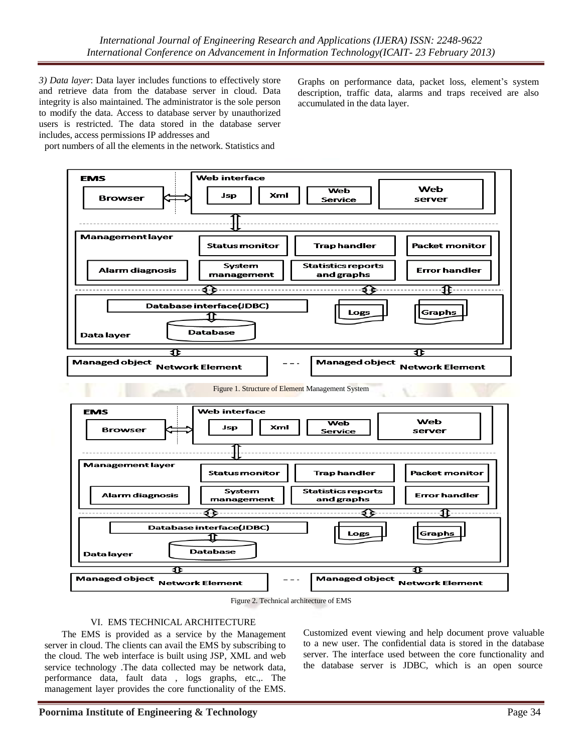*3) Data layer*: Data layer includes functions to effectively store and retrieve data from the database server in cloud. Data integrity is also maintained. The administrator is the sole person to modify the data. Access to database server by unauthorized users is restricted. The data stored in the database server includes, access permissions IP addresses and

Graphs on performance data, packet loss, element's system description, traffic data, alarms and traps received are also accumulated in the data layer.

port numbers of all the elements in the network. Statistics and





### VI. EMS TECHNICAL ARCHITECTURE

The EMS is provided as a service by the Management server in cloud. The clients can avail the EMS by subscribing to the cloud. The web interface is built using JSP, XML and web service technology .The data collected may be network data, performance data, fault data , logs graphs, etc.,. The management layer provides the core functionality of the EMS.

Customized event viewing and help document prove valuable to a new user. The confidential data is stored in the database server. The interface used between the core functionality and the database server is JDBC, which is an open source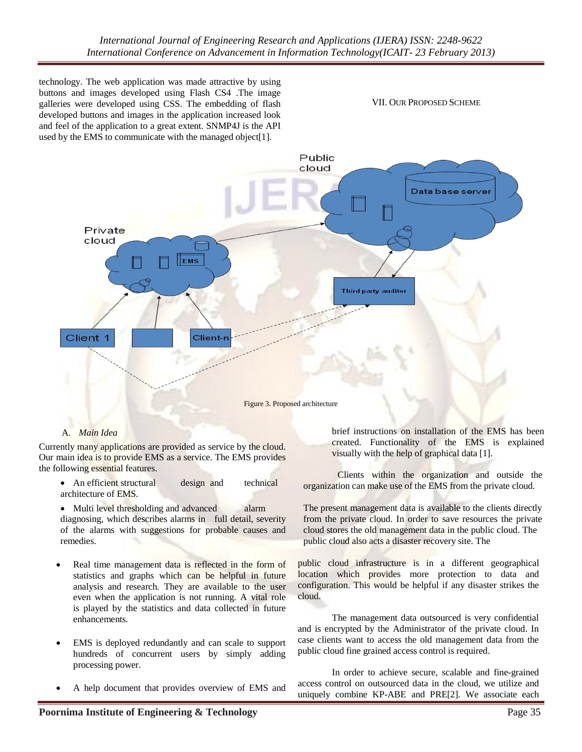technology. The web application was made attractive by using buttons and images developed using Flash CS4 .The image galleries were developed using CSS. The embedding of flash developed buttons and images in the application increased look and feel of the application to a great extent. SNMP4J is the API used by the EMS to communicate with the managed object[1].

VII. OUR PROPOSED SCHEME



### A. *Main Idea*

Currently many applications are provided as service by the cloud. Our main idea is to provide EMS as a service. The EMS provides the following essential features.

• An efficient structural design and technical architecture of EMS.

• Multi level thresholding and advanced alarm diagnosing, which describes alarms in full detail, severity of the alarms with suggestions for probable causes and remedies.

- Real time management data is reflected in the form of statistics and graphs which can be helpful in future analysis and research. They are available to the user even when the application is not running. A vital role is played by the statistics and data collected in future enhancements.
- EMS is deployed redundantly and can scale to support hundreds of concurrent users by simply adding processing power.
- A help document that provides overview of EMS and

brief instructions on installation of the EMS has been created. Functionality of the EMS is explained visually with the help of graphical data [1].

Clients within the organization and outside the organization can make use of the EMS from the private cloud.

The present management data is available to the clients directly from the private cloud. In order to save resources the private cloud stores the old management data in the public cloud. The public cloud also acts a disaster recovery site. The

public cloud infrastructure is in a different geographical location which provides more protection to data and configuration. This would be helpful if any disaster strikes the cloud.

The management data outsourced is very confidential and is encrypted by the Administrator of the private cloud. In case clients want to access the old management data from the public cloud fine grained access control is required.

In order to achieve secure, scalable and fine-grained access control on outsourced data in the cloud, we utilize and uniquely combine KP-ABE and PRE[2]. We associate each